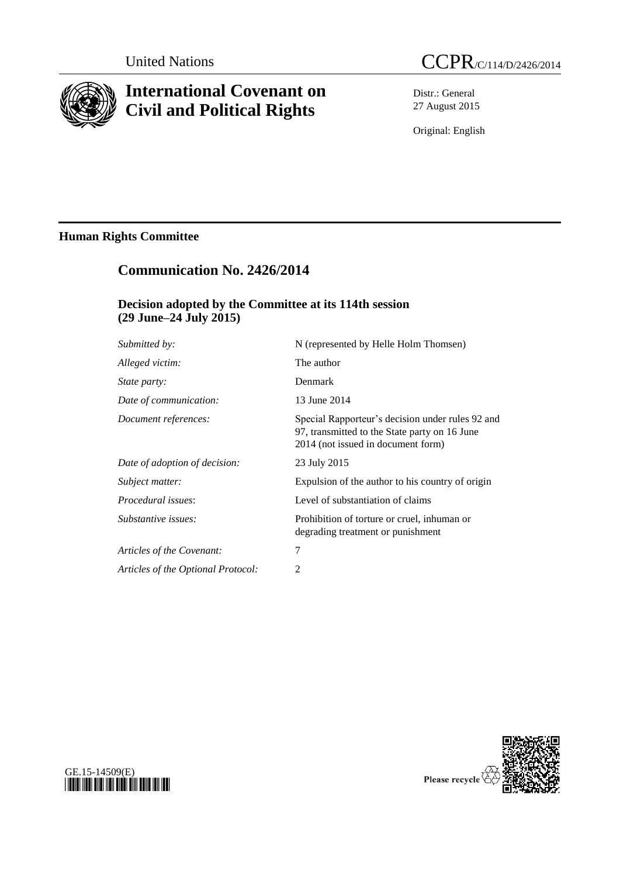

# **International Covenant on Civil and Political Rights**

Distr.: General 27 August 2015

Original: English

# **Human Rights Committee**

# **Communication No. 2426/2014**

## **Decision adopted by the Committee at its 114th session (29 June–24 July 2015)**

| Submitted by:                      | N (represented by Helle Holm Thomsen)                                                                                                   |
|------------------------------------|-----------------------------------------------------------------------------------------------------------------------------------------|
| Alleged victim:                    | The author                                                                                                                              |
| <i>State party:</i>                | Denmark                                                                                                                                 |
| Date of communication:             | 13 June 2014                                                                                                                            |
| Document references:               | Special Rapporteur's decision under rules 92 and<br>97, transmitted to the State party on 16 June<br>2014 (not issued in document form) |
| Date of adoption of decision:      | 23 July 2015                                                                                                                            |
| Subject matter:                    | Expulsion of the author to his country of origin                                                                                        |
| Procedural issues:                 | Level of substantiation of claims                                                                                                       |
| Substantive issues:                | Prohibition of torture or cruel, inhuman or<br>degrading treatment or punishment                                                        |
| Articles of the Covenant:          | 7                                                                                                                                       |
| Articles of the Optional Protocol: | 2                                                                                                                                       |
|                                    |                                                                                                                                         |



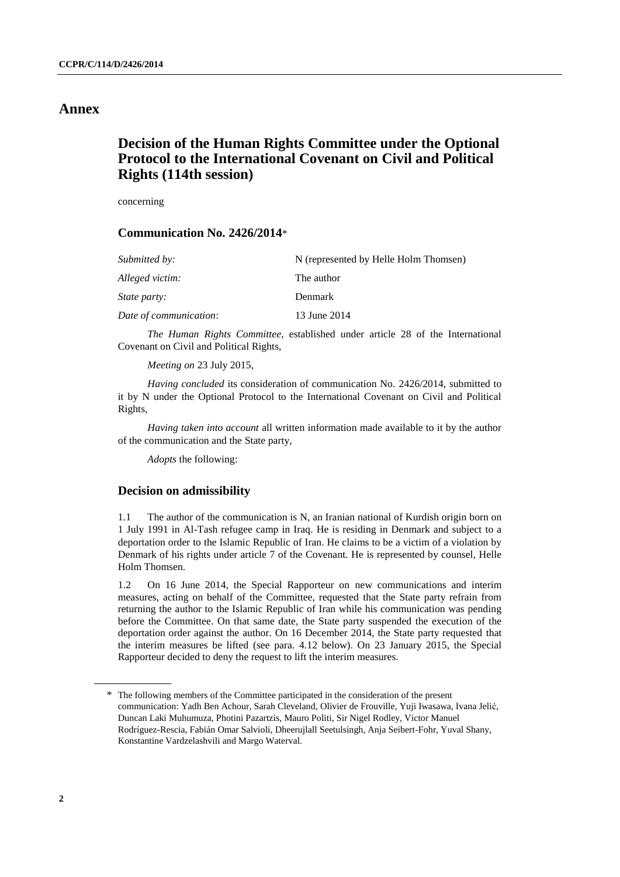### **Annex**

# **Decision of the Human Rights Committee under the Optional Protocol to the International Covenant on Civil and Political Rights (114th session)**

concerning

### **Communication No. 2426/2014**\*

| N (represented by Helle Holm Thomsen) |
|---------------------------------------|
| The author                            |
| Denmark                               |
| 13 June 2014                          |
|                                       |

*The Human Rights Committee*, established under article 28 of the International Covenant on Civil and Political Rights,

*Meeting on* 23 July 2015,

*Having concluded* its consideration of communication No. 2426/2014, submitted to it by N under the Optional Protocol to the International Covenant on Civil and Political Rights,

*Having taken into account* all written information made available to it by the author of the communication and the State party,

*Adopts* the following:

#### **Decision on admissibility**

1.1 The author of the communication is N, an Iranian national of Kurdish origin born on 1 July 1991 in Al-Tash refugee camp in Iraq. He is residing in Denmark and subject to a deportation order to the Islamic Republic of Iran. He claims to be a victim of a violation by Denmark of his rights under article 7 of the Covenant. He is represented by counsel, Helle Holm Thomsen.

1.2 On 16 June 2014, the Special Rapporteur on new communications and interim measures, acting on behalf of the Committee, requested that the State party refrain from returning the author to the Islamic Republic of Iran while his communication was pending before the Committee. On that same date, the State party suspended the execution of the deportation order against the author. On 16 December 2014, the State party requested that the interim measures be lifted (see para. 4.12 below). On 23 January 2015, the Special Rapporteur decided to deny the request to lift the interim measures.

<sup>\*</sup> The following members of the Committee participated in the consideration of the present communication: Yadh Ben Achour, Sarah Cleveland, Olivier de Frouville, Yuji Iwasawa, Ivana Jelić, Duncan Laki Muhumuza, Photini Pazartzis, Mauro Politi, Sir Nigel Rodley, Victor Manuel Rodríguez-Rescia, Fabián Omar Salvioli, Dheerujlall Seetulsingh, Anja Seibert-Fohr, Yuval Shany, Konstantine Vardzelashvili and Margo Waterval.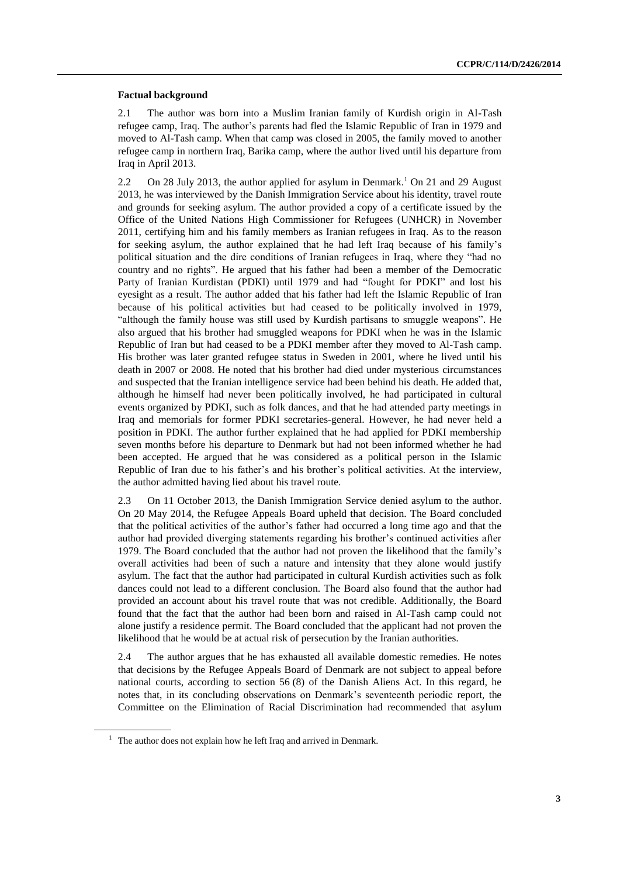#### **Factual background**

2.1 The author was born into a Muslim Iranian family of Kurdish origin in Al-Tash refugee camp, Iraq. The author's parents had fled the Islamic Republic of Iran in 1979 and moved to Al-Tash camp. When that camp was closed in 2005, the family moved to another refugee camp in northern Iraq, Barika camp, where the author lived until his departure from Iraq in April 2013.

2.2 On 28 July 2013, the author applied for asylum in Denmark.<sup>1</sup> On 21 and 29 August 2013, he was interviewed by the Danish Immigration Service about his identity, travel route and grounds for seeking asylum. The author provided a copy of a certificate issued by the Office of the United Nations High Commissioner for Refugees (UNHCR) in November 2011, certifying him and his family members as Iranian refugees in Iraq. As to the reason for seeking asylum, the author explained that he had left Iraq because of his family's political situation and the dire conditions of Iranian refugees in Iraq, where they "had no country and no rights". He argued that his father had been a member of the Democratic Party of Iranian Kurdistan (PDKI) until 1979 and had "fought for PDKI" and lost his eyesight as a result. The author added that his father had left the Islamic Republic of Iran because of his political activities but had ceased to be politically involved in 1979, "although the family house was still used by Kurdish partisans to smuggle weapons". He also argued that his brother had smuggled weapons for PDKI when he was in the Islamic Republic of Iran but had ceased to be a PDKI member after they moved to Al-Tash camp. His brother was later granted refugee status in Sweden in 2001, where he lived until his death in 2007 or 2008. He noted that his brother had died under mysterious circumstances and suspected that the Iranian intelligence service had been behind his death. He added that, although he himself had never been politically involved, he had participated in cultural events organized by PDKI, such as folk dances, and that he had attended party meetings in Iraq and memorials for former PDKI secretaries-general. However, he had never held a position in PDKI. The author further explained that he had applied for PDKI membership seven months before his departure to Denmark but had not been informed whether he had been accepted. He argued that he was considered as a political person in the Islamic Republic of Iran due to his father's and his brother's political activities. At the interview, the author admitted having lied about his travel route.

2.3 On 11 October 2013, the Danish Immigration Service denied asylum to the author. On 20 May 2014, the Refugee Appeals Board upheld that decision. The Board concluded that the political activities of the author's father had occurred a long time ago and that the author had provided diverging statements regarding his brother's continued activities after 1979. The Board concluded that the author had not proven the likelihood that the family's overall activities had been of such a nature and intensity that they alone would justify asylum. The fact that the author had participated in cultural Kurdish activities such as folk dances could not lead to a different conclusion. The Board also found that the author had provided an account about his travel route that was not credible. Additionally, the Board found that the fact that the author had been born and raised in Al-Tash camp could not alone justify a residence permit. The Board concluded that the applicant had not proven the likelihood that he would be at actual risk of persecution by the Iranian authorities.

2.4 The author argues that he has exhausted all available domestic remedies. He notes that decisions by the Refugee Appeals Board of Denmark are not subject to appeal before national courts, according to section 56 (8) of the Danish Aliens Act. In this regard, he notes that, in its concluding observations on Denmark's seventeenth periodic report, the Committee on the Elimination of Racial Discrimination had recommended that asylum

 $1$  The author does not explain how he left Iraq and arrived in Denmark.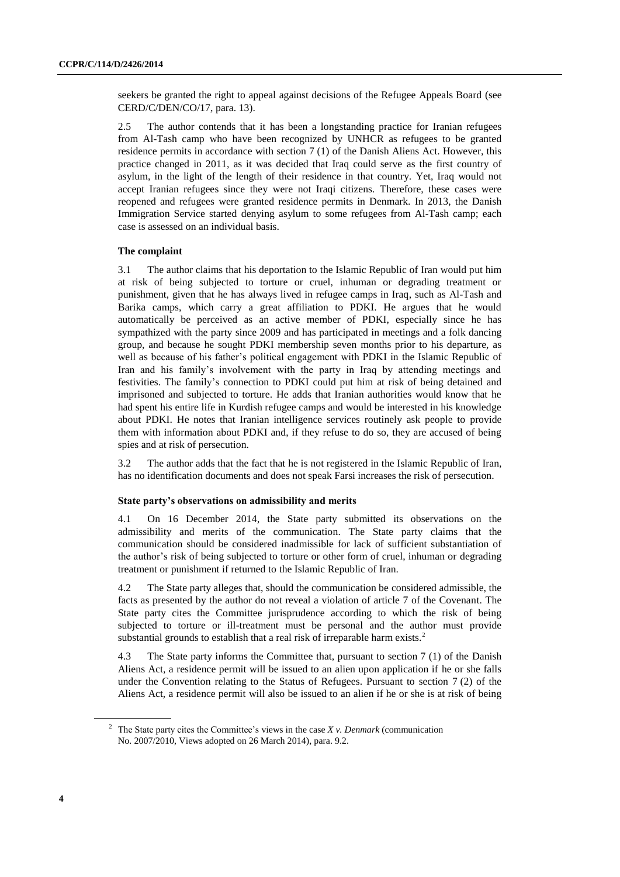seekers be granted the right to appeal against decisions of the Refugee Appeals Board (see CERD/C/DEN/CO/17, para. 13).

2.5 The author contends that it has been a longstanding practice for Iranian refugees from Al-Tash camp who have been recognized by UNHCR as refugees to be granted residence permits in accordance with section 7 (1) of the Danish Aliens Act. However, this practice changed in 2011, as it was decided that Iraq could serve as the first country of asylum, in the light of the length of their residence in that country. Yet, Iraq would not accept Iranian refugees since they were not Iraqi citizens. Therefore, these cases were reopened and refugees were granted residence permits in Denmark. In 2013, the Danish Immigration Service started denying asylum to some refugees from Al-Tash camp; each case is assessed on an individual basis.

#### **The complaint**

3.1 The author claims that his deportation to the Islamic Republic of Iran would put him at risk of being subjected to torture or cruel, inhuman or degrading treatment or punishment, given that he has always lived in refugee camps in Iraq, such as Al-Tash and Barika camps, which carry a great affiliation to PDKI. He argues that he would automatically be perceived as an active member of PDKI, especially since he has sympathized with the party since 2009 and has participated in meetings and a folk dancing group, and because he sought PDKI membership seven months prior to his departure, as well as because of his father's political engagement with PDKI in the Islamic Republic of Iran and his family's involvement with the party in Iraq by attending meetings and festivities. The family's connection to PDKI could put him at risk of being detained and imprisoned and subjected to torture. He adds that Iranian authorities would know that he had spent his entire life in Kurdish refugee camps and would be interested in his knowledge about PDKI. He notes that Iranian intelligence services routinely ask people to provide them with information about PDKI and, if they refuse to do so, they are accused of being spies and at risk of persecution.

3.2 The author adds that the fact that he is not registered in the Islamic Republic of Iran, has no identification documents and does not speak Farsi increases the risk of persecution.

#### **State party's observations on admissibility and merits**

4.1 On 16 December 2014, the State party submitted its observations on the admissibility and merits of the communication. The State party claims that the communication should be considered inadmissible for lack of sufficient substantiation of the author's risk of being subjected to torture or other form of cruel, inhuman or degrading treatment or punishment if returned to the Islamic Republic of Iran.

4.2 The State party alleges that, should the communication be considered admissible, the facts as presented by the author do not reveal a violation of article 7 of the Covenant. The State party cites the Committee jurisprudence according to which the risk of being subjected to torture or ill-treatment must be personal and the author must provide substantial grounds to establish that a real risk of irreparable harm exists.<sup>2</sup>

4.3 The State party informs the Committee that, pursuant to section 7 (1) of the Danish Aliens Act, a residence permit will be issued to an alien upon application if he or she falls under the Convention relating to the Status of Refugees. Pursuant to section 7 (2) of the Aliens Act, a residence permit will also be issued to an alien if he or she is at risk of being

<sup>2</sup> The State party cites the Committee's views in the case *X v. Denmark* (communication No. 2007/2010, Views adopted on 26 March 2014), para. 9.2.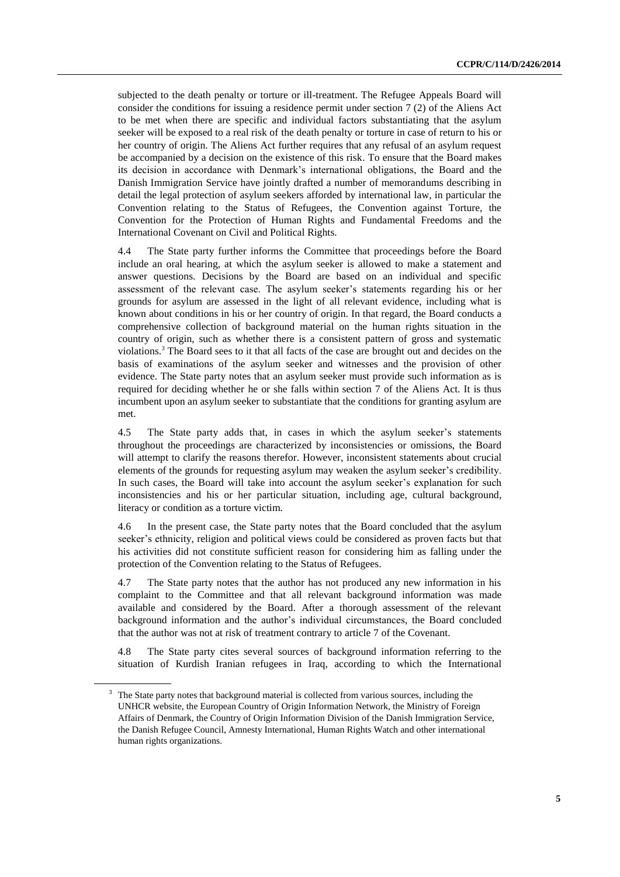subjected to the death penalty or torture or ill-treatment. The Refugee Appeals Board will consider the conditions for issuing a residence permit under section 7 (2) of the Aliens Act to be met when there are specific and individual factors substantiating that the asylum seeker will be exposed to a real risk of the death penalty or torture in case of return to his or her country of origin. The Aliens Act further requires that any refusal of an asylum request be accompanied by a decision on the existence of this risk. To ensure that the Board makes its decision in accordance with Denmark's international obligations, the Board and the Danish Immigration Service have jointly drafted a number of memorandums describing in detail the legal protection of asylum seekers afforded by international law, in particular the Convention relating to the Status of Refugees, the Convention against Torture, the Convention for the Protection of Human Rights and Fundamental Freedoms and the International Covenant on Civil and Political Rights.

4.4 The State party further informs the Committee that proceedings before the Board include an oral hearing, at which the asylum seeker is allowed to make a statement and answer questions. Decisions by the Board are based on an individual and specific assessment of the relevant case. The asylum seeker's statements regarding his or her grounds for asylum are assessed in the light of all relevant evidence, including what is known about conditions in his or her country of origin. In that regard, the Board conducts a comprehensive collection of background material on the human rights situation in the country of origin, such as whether there is a consistent pattern of gross and systematic violations.<sup>3</sup> The Board sees to it that all facts of the case are brought out and decides on the basis of examinations of the asylum seeker and witnesses and the provision of other evidence. The State party notes that an asylum seeker must provide such information as is required for deciding whether he or she falls within section 7 of the Aliens Act. It is thus incumbent upon an asylum seeker to substantiate that the conditions for granting asylum are met.

4.5 The State party adds that, in cases in which the asylum seeker's statements throughout the proceedings are characterized by inconsistencies or omissions, the Board will attempt to clarify the reasons therefor. However, inconsistent statements about crucial elements of the grounds for requesting asylum may weaken the asylum seeker's credibility. In such cases, the Board will take into account the asylum seeker's explanation for such inconsistencies and his or her particular situation, including age, cultural background, literacy or condition as a torture victim.

4.6 In the present case, the State party notes that the Board concluded that the asylum seeker's ethnicity, religion and political views could be considered as proven facts but that his activities did not constitute sufficient reason for considering him as falling under the protection of the Convention relating to the Status of Refugees.

4.7 The State party notes that the author has not produced any new information in his complaint to the Committee and that all relevant background information was made available and considered by the Board. After a thorough assessment of the relevant background information and the author's individual circumstances, the Board concluded that the author was not at risk of treatment contrary to article 7 of the Covenant.

4.8 The State party cites several sources of background information referring to the situation of Kurdish Iranian refugees in Iraq, according to which the International

<sup>&</sup>lt;sup>3</sup> The State party notes that background material is collected from various sources, including the UNHCR website, the European Country of Origin Information Network, the Ministry of Foreign Affairs of Denmark, the Country of Origin Information Division of the Danish Immigration Service, the Danish Refugee Council, Amnesty International, Human Rights Watch and other international human rights organizations.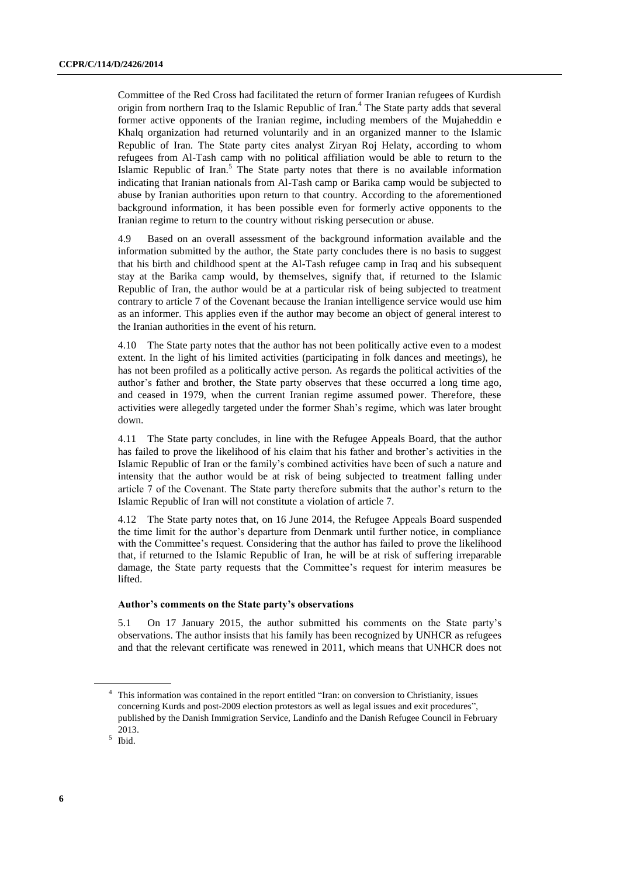Committee of the Red Cross had facilitated the return of former Iranian refugees of Kurdish origin from northern Iraq to the Islamic Republic of Iran.<sup>4</sup> The State party adds that several former active opponents of the Iranian regime, including members of the Mujaheddin e Khalq organization had returned voluntarily and in an organized manner to the Islamic Republic of Iran. The State party cites analyst Ziryan Roj Helaty, according to whom refugees from Al-Tash camp with no political affiliation would be able to return to the Islamic Republic of Iran.<sup>5</sup> The State party notes that there is no available information indicating that Iranian nationals from Al-Tash camp or Barika camp would be subjected to abuse by Iranian authorities upon return to that country. According to the aforementioned background information, it has been possible even for formerly active opponents to the Iranian regime to return to the country without risking persecution or abuse.

4.9 Based on an overall assessment of the background information available and the information submitted by the author, the State party concludes there is no basis to suggest that his birth and childhood spent at the Al-Tash refugee camp in Iraq and his subsequent stay at the Barika camp would, by themselves, signify that, if returned to the Islamic Republic of Iran, the author would be at a particular risk of being subjected to treatment contrary to article 7 of the Covenant because the Iranian intelligence service would use him as an informer. This applies even if the author may become an object of general interest to the Iranian authorities in the event of his return.

4.10 The State party notes that the author has not been politically active even to a modest extent. In the light of his limited activities (participating in folk dances and meetings), he has not been profiled as a politically active person. As regards the political activities of the author's father and brother, the State party observes that these occurred a long time ago, and ceased in 1979, when the current Iranian regime assumed power. Therefore, these activities were allegedly targeted under the former Shah's regime, which was later brought down.

4.11 The State party concludes, in line with the Refugee Appeals Board, that the author has failed to prove the likelihood of his claim that his father and brother's activities in the Islamic Republic of Iran or the family's combined activities have been of such a nature and intensity that the author would be at risk of being subjected to treatment falling under article 7 of the Covenant. The State party therefore submits that the author's return to the Islamic Republic of Iran will not constitute a violation of article 7.

4.12 The State party notes that, on 16 June 2014, the Refugee Appeals Board suspended the time limit for the author's departure from Denmark until further notice, in compliance with the Committee's request. Considering that the author has failed to prove the likelihood that, if returned to the Islamic Republic of Iran, he will be at risk of suffering irreparable damage, the State party requests that the Committee's request for interim measures be lifted.

#### **Author's comments on the State party's observations**

5.1 On 17 January 2015, the author submitted his comments on the State party's observations. The author insists that his family has been recognized by UNHCR as refugees and that the relevant certificate was renewed in 2011, which means that UNHCR does not

<sup>&</sup>lt;sup>4</sup> This information was contained in the report entitled "Iran: on conversion to Christianity, issues concerning Kurds and post-2009 election protestors as well as legal issues and exit procedures", published by the Danish Immigration Service, Landinfo and the Danish Refugee Council in February 2013.

<sup>5</sup> Ibid.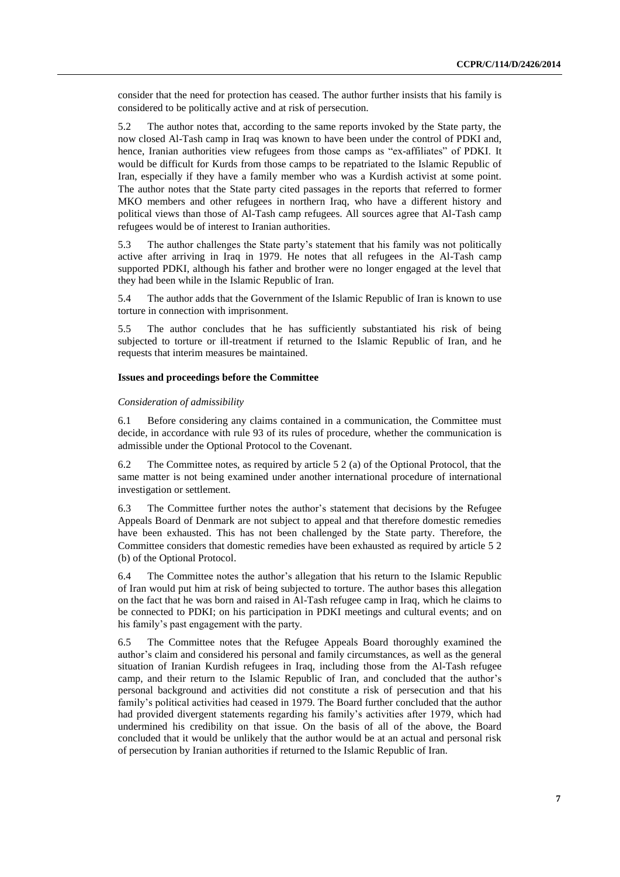consider that the need for protection has ceased. The author further insists that his family is considered to be politically active and at risk of persecution.

5.2 The author notes that, according to the same reports invoked by the State party, the now closed Al-Tash camp in Iraq was known to have been under the control of PDKI and, hence, Iranian authorities view refugees from those camps as "ex-affiliates" of PDKI. It would be difficult for Kurds from those camps to be repatriated to the Islamic Republic of Iran, especially if they have a family member who was a Kurdish activist at some point. The author notes that the State party cited passages in the reports that referred to former MKO members and other refugees in northern Iraq, who have a different history and political views than those of Al-Tash camp refugees. All sources agree that Al-Tash camp refugees would be of interest to Iranian authorities.

5.3 The author challenges the State party's statement that his family was not politically active after arriving in Iraq in 1979. He notes that all refugees in the Al-Tash camp supported PDKI, although his father and brother were no longer engaged at the level that they had been while in the Islamic Republic of Iran.

5.4 The author adds that the Government of the Islamic Republic of Iran is known to use torture in connection with imprisonment.

5.5 The author concludes that he has sufficiently substantiated his risk of being subjected to torture or ill-treatment if returned to the Islamic Republic of Iran, and he requests that interim measures be maintained.

#### **Issues and proceedings before the Committee**

#### *Consideration of admissibility*

6.1 Before considering any claims contained in a communication, the Committee must decide, in accordance with rule 93 of its rules of procedure, whether the communication is admissible under the Optional Protocol to the Covenant.

6.2 The Committee notes, as required by article 5 2 (a) of the Optional Protocol, that the same matter is not being examined under another international procedure of international investigation or settlement.

6.3 The Committee further notes the author's statement that decisions by the Refugee Appeals Board of Denmark are not subject to appeal and that therefore domestic remedies have been exhausted. This has not been challenged by the State party. Therefore, the Committee considers that domestic remedies have been exhausted as required by article 5 2 (b) of the Optional Protocol.

6.4 The Committee notes the author's allegation that his return to the Islamic Republic of Iran would put him at risk of being subjected to torture. The author bases this allegation on the fact that he was born and raised in Al-Tash refugee camp in Iraq, which he claims to be connected to PDKI; on his participation in PDKI meetings and cultural events; and on his family's past engagement with the party.

6.5 The Committee notes that the Refugee Appeals Board thoroughly examined the author's claim and considered his personal and family circumstances, as well as the general situation of Iranian Kurdish refugees in Iraq, including those from the Al-Tash refugee camp, and their return to the Islamic Republic of Iran, and concluded that the author's personal background and activities did not constitute a risk of persecution and that his family's political activities had ceased in 1979. The Board further concluded that the author had provided divergent statements regarding his family's activities after 1979, which had undermined his credibility on that issue. On the basis of all of the above, the Board concluded that it would be unlikely that the author would be at an actual and personal risk of persecution by Iranian authorities if returned to the Islamic Republic of Iran.